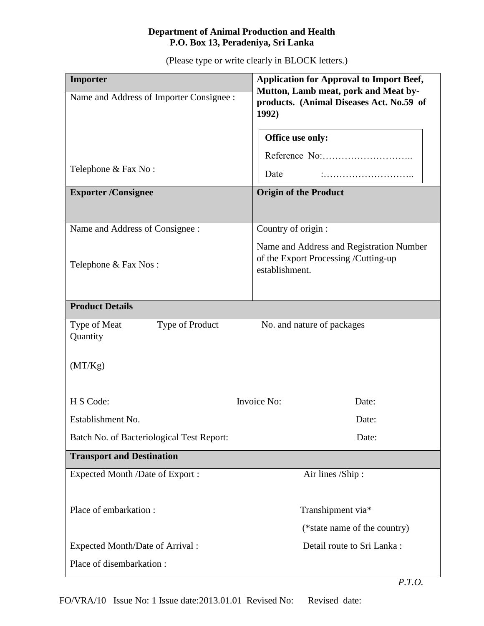## **Department of Animal Production and Health P.O. Box 13, Peradeniya, Sri Lanka**

(Please type or write clearly in BLOCK letters.)

| Importer                                    | <b>Application for Approval to Import Beef,</b>                                                    |
|---------------------------------------------|----------------------------------------------------------------------------------------------------|
| Name and Address of Importer Consignee :    | Mutton, Lamb meat, pork and Meat by-<br>products. (Animal Diseases Act. No.59 of<br>1992)          |
| Telephone & Fax No:                         | Office use only:<br>Date                                                                           |
|                                             |                                                                                                    |
| <b>Exporter/Consignee</b>                   | <b>Origin of the Product</b>                                                                       |
| Name and Address of Consignee :             | Country of origin :                                                                                |
| Telephone & Fax Nos:                        | Name and Address and Registration Number<br>of the Export Processing /Cutting-up<br>establishment. |
| <b>Product Details</b>                      |                                                                                                    |
| Type of Meat<br>Type of Product<br>Quantity | No. and nature of packages                                                                         |
| (MT/Kg)                                     |                                                                                                    |
| H S Code:                                   | Invoice No:<br>Date:                                                                               |
| Establishment No.                           | Date:                                                                                              |
| Batch No. of Bacteriological Test Report:   | Date:                                                                                              |
| <b>Transport and Destination</b>            |                                                                                                    |
| Expected Month /Date of Export :            | Air lines /Ship:                                                                                   |
| Place of embarkation:                       | Transhipment via*<br>(*state name of the country)                                                  |
| Expected Month/Date of Arrival:             | Detail route to Sri Lanka:                                                                         |
| Place of disembarkation:                    |                                                                                                    |